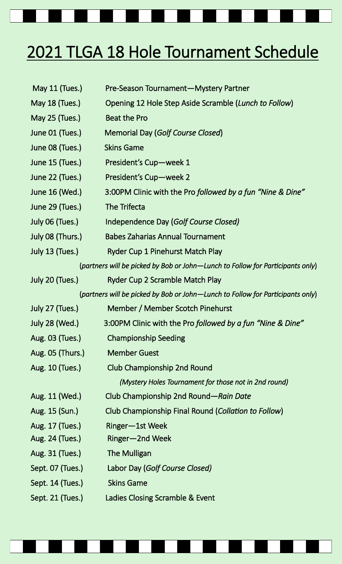## 2021 TLGA 18 Hole Tournament Schedule

| May 11 (Tues.)                                                                 | Pre-Season Tournament-Mystery Partner                      |
|--------------------------------------------------------------------------------|------------------------------------------------------------|
| May 18 (Tues.)                                                                 | Opening 12 Hole Step Aside Scramble (Lunch to Follow)      |
| May 25 (Tues.)                                                                 | <b>Beat the Pro</b>                                        |
| June 01 (Tues.)                                                                | Memorial Day (Golf Course Closed)                          |
| June 08 (Tues.)                                                                | <b>Skins Game</b>                                          |
| June 15 (Tues.)                                                                | President's Cup-week 1                                     |
| June 22 (Tues.)                                                                | President's Cup-week 2                                     |
| June 16 (Wed.)                                                                 | 3:00PM Clinic with the Pro followed by a fun "Nine & Dine" |
| June 29 (Tues.)                                                                | The Trifecta                                               |
| July 06 (Tues.)                                                                | Independence Day (Golf Course Closed)                      |
| July 08 (Thurs.)                                                               | <b>Babes Zaharias Annual Tournament</b>                    |
| July 13 (Tues.)                                                                | <b>Ryder Cup 1 Pinehurst Match Play</b>                    |
| (partners will be picked by Bob or John—Lunch to Follow for Participants only) |                                                            |
| July 20 (Tues.)                                                                | Ryder Cup 2 Scramble Match Play                            |
| (partners will be picked by Bob or John—Lunch to Follow for Participants only) |                                                            |
| July 27 (Tues.)                                                                | Member / Member Scotch Pinehurst                           |
| July 28 (Wed.)                                                                 | 3:00PM Clinic with the Pro followed by a fun "Nine & Dine" |
| Aug. 03 (Tues.)                                                                | <b>Championship Seeding</b>                                |
| Aug. 05 (Thurs.)                                                               | <b>Member Guest</b>                                        |
| Aug. 10 (Tues.)                                                                | Club Championship 2nd Round                                |
|                                                                                | (Mystery Holes Tournament for those not in 2nd round)      |
| Aug. 11 (Wed.)                                                                 | Club Championship 2nd Round-Rain Date                      |
| Aug. 15 (Sun.)                                                                 | Club Championship Final Round (Collation to Follow)        |
| Aug. 17 (Tues.)                                                                | Ringer-1st Week                                            |
| Aug. 24 (Tues.)                                                                | Ringer-2nd Week                                            |
| Aug. 31 (Tues.)                                                                | The Mulligan                                               |
| Sept. 07 (Tues.)                                                               | Labor Day (Golf Course Closed)                             |
| Sept. 14 (Tues.)                                                               | <b>Skins Game</b>                                          |
| Sept. 21 (Tues.)                                                               | Ladies Closing Scramble & Event                            |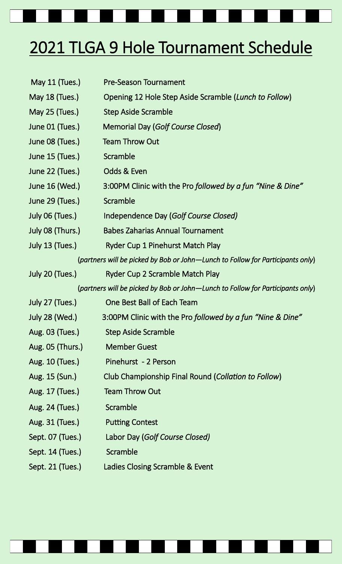## 2021 TLGA 9 Hole Tournament Schedule May 11 (Tues.) Pre-Season Tournament May 18 (Tues.) Opening 12 Hole Step Aside Scramble (*Lunch to Follow*) May 25 (Tues.) Step Aside Scramble June 01 (Tues.) Memorial Day (*Golf Course Closed*) June 08 (Tues.) Team Throw Out June 15 (Tues.) Scramble June 22 (Tues.) Odds & Even June 16 (Wed.) 3:00PM Clinic with the Pro *followed by a fun "Nine & Dine"* June 29 (Tues.) Scramble July 06 (Tues.) Independence Day (*Golf Course Closed)*  July 08 (Thurs.) Babes Zaharias Annual Tournament July 13 (Tues.) Ryder Cup 1 Pinehurst Match Play (*partners will be picked by Bob or John—Lunch to Follow for Participants only*) July 20 (Tues.) Ryder Cup 2 Scramble Match Play (*partners will be picked by Bob or John—Lunch to Follow for Participants only*) July 27 (Tues.) One Best Ball of Each Team

 July 28 (Wed.) 3:00PM Clinic with the Pro *followed by a fun "Nine & Dine"* Aug. 03 (Tues.) Step Aside Scramble Aug. 05 (Thurs.) Member Guest Aug. 10 (Tues.) Pinehurst - 2 Person Aug. 15 (Sun.) Club Championship Final Round (*Collation to Follow*) Aug. 17 (Tues.) Team Throw Out Aug. 24 (Tues.) Scramble Aug. 31 (Tues.) Putting Contest Sept. 07 (Tues.) Labor Day (*Golf Course Closed)* Sept. 14 (Tues.) Scramble Sept. 21 (Tues.) Ladies Closing Scramble & Event